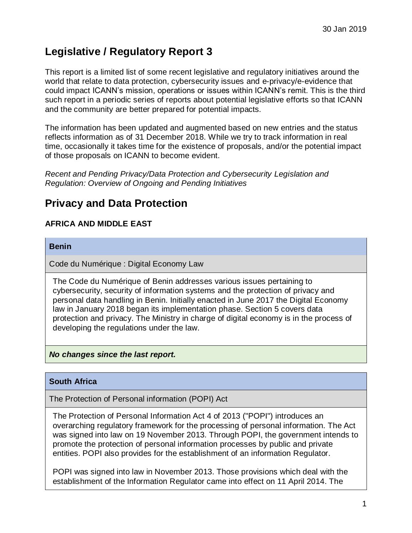# **Legislative / Regulatory Report 3**

This report is a limited list of some recent legislative and regulatory initiatives around the world that relate to data protection, cybersecurity issues and e-privacy/e-evidence that could impact ICANN's mission, operations or issues within ICANN's remit. This is the third such report in a periodic series of reports about potential legislative efforts so that ICANN and the community are better prepared for potential impacts.

The information has been updated and augmented based on new entries and the status reflects information as of 31 December 2018. While we try to track information in real time, occasionally it takes time for the existence of proposals, and/or the potential impact of those proposals on ICANN to become evident.

*Recent and Pending Privacy/Data Protection and Cybersecurity Legislation and Regulation: Overview of Ongoing and Pending Initiatives* 

## **Privacy and Data Protection**

## **AFRICA AND MIDDLE EAST**

#### **Benin**

Code du Numérique : Digital Economy Law

The Code du Numérique of Benin addresses various issues pertaining to cybersecurity, security of information systems and the protection of privacy and personal data handling in Benin. Initially enacted in June 2017 the Digital Economy law in January 2018 began its implementation phase. Section 5 covers data protection and privacy. The Ministry in charge of digital economy is in the process of developing the regulations under the law.

#### *No changes since the last report.*

## **South Africa**

The Protection of Personal information (POPI) Act

The Protection of Personal Information Act 4 of 2013 ("POPI") introduces an overarching regulatory framework for the processing of personal information. The Act was signed into law on 19 November 2013. Through POPI, the government intends to promote the protection of personal information processes by public and private entities. POPI also provides for the establishment of an information Regulator.

POPI was signed into law in November 2013. Those provisions which deal with the establishment of the Information Regulator came into effect on 11 April 2014. The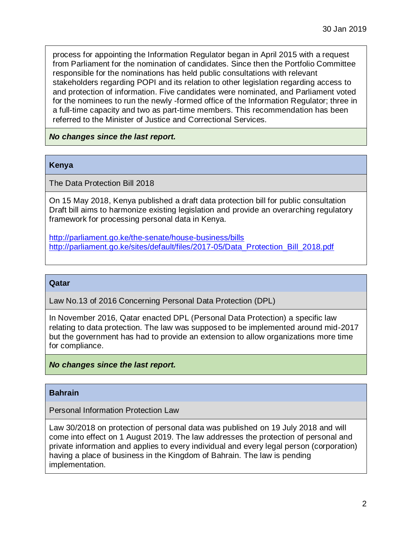process for appointing the Information Regulator began in April 2015 with a request from Parliament for the nomination of candidates. Since then the Portfolio Committee responsible for the nominations has held public consultations with relevant stakeholders regarding POPI and its relation to other legislation regarding access to and protection of information. Five candidates were nominated, and Parliament voted for the nominees to run the newly -formed office of the Information Regulator; three in a full-time capacity and two as part-time members. This recommendation has been referred to the Minister of Justice and Correctional Services.

*No changes since the last report.*

#### **Kenya**

The Data Protection Bill 2018

On 15 May 2018, Kenya published a draft data protection bill for public consultation Draft bill aims to harmonize existing legislation and provide an overarching regulatory framework for processing personal data in Kenya.

<http://parliament.go.ke/the-senate/house-business/bills> [http://parliament.go.ke/sites/default/files/2017-05/Data\\_Protection\\_Bill\\_2018.pdf](http://parliament.go.ke/sites/default/files/2017-05/Data_Protection_Bill_2018.pdf)

#### **Qatar**

Law No.13 of 2016 Concerning Personal Data Protection (DPL)

In November 2016, Qatar enacted DPL (Personal Data Protection) a specific law relating to data protection. The law was supposed to be implemented around mid-2017 but the government has had to provide an extension to allow organizations more time for compliance.

#### *No changes since the last report.*

#### **Bahrain**

Personal Information Protection Law

Law 30/2018 on protection of personal data was published on 19 July 2018 and will come into effect on 1 August 2019. The law addresses the protection of personal and private information and applies to every individual and every legal person (corporation) having a place of business in the Kingdom of Bahrain. The law is pending implementation.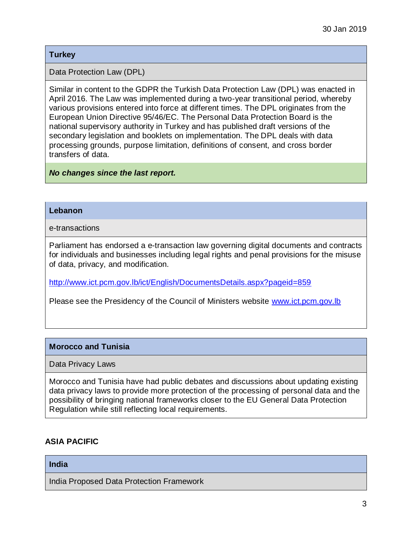### **Turkey**

Data Protection Law (DPL)

Similar in content to the GDPR the Turkish Data Protection Law (DPL) was enacted in April 2016. The Law was implemented during a two-year transitional period, whereby various provisions entered into force at different times. The DPL originates from the European Union Directive 95/46/EC. The Personal Data Protection Board is the national supervisory authority in Turkey and has published draft versions of the secondary legislation and booklets on implementation. The DPL deals with data processing grounds, purpose limitation, definitions of consent, and cross border transfers of data.

#### *No changes since the last report.*

#### **Lebanon**

e-transactions

Parliament has endorsed a e-transaction law governing digital documents and contracts for individuals and businesses including legal rights and penal provisions for the misuse of data, privacy, and modification.

<http://www.ict.pcm.gov.lb/ict/English/DocumentsDetails.aspx?pageid=859>

Please see the Presidency of the Council of Ministers website [www.ict.pcm.gov.lb](http://www.ict.pcm.gov.lb/)

#### **Morocco and Tunisia**

Data Privacy Laws

Morocco and Tunisia have had public debates and discussions about updating existing data privacy laws to provide more protection of the processing of personal data and the possibility of bringing national frameworks closer to the EU General Data Protection Regulation while still reflecting local requirements.

## **ASIA PACIFIC**

#### **India**

India Proposed Data Protection Framework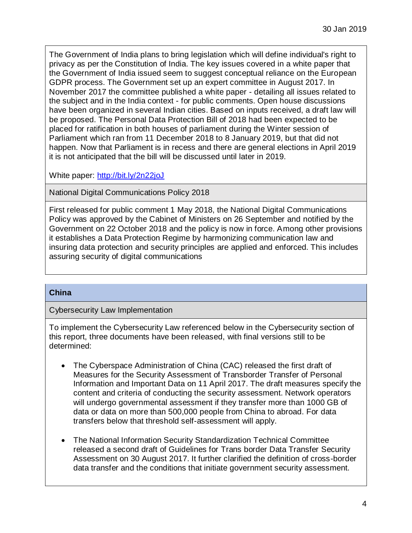The Government of India plans to bring legislation which will define individual's right to privacy as per the Constitution of India. The key issues covered in a white paper that the Government of India issued seem to suggest conceptual reliance on the European GDPR process. The Government set up an expert committee in August 2017. In November 2017 the committee published a white paper - detailing all issues related to the subject and in the India context - for public comments. Open house discussions have been organized in several Indian cities. Based on inputs received, a draft law will be proposed. The Personal Data Protection Bill of 2018 had been expected to be placed for ratification in both houses of parliament during the Winter session of Parliament which ran from 11 December 2018 to 8 January 2019, but that did not happen. Now that Parliament is in recess and there are general elections in April 2019 it is not anticipated that the bill will be discussed until later in 2019.

White paper:<http://bit.ly/2n22joJ>

National Digital Communications Policy 2018

First released for public comment 1 May 2018, the National Digital Communications Policy was approved by the Cabinet of Ministers on 26 September and notified by the Government on 22 October 2018 and the policy is now in force. Among other provisions it establishes a Data Protection Regime by harmonizing communication law and insuring data protection and security principles are applied and enforced. This includes assuring security of digital communications

#### **China**

Cybersecurity Law Implementation

To implement the Cybersecurity Law referenced below in the Cybersecurity section of this report, three documents have been released, with final versions still to be determined:

- The Cyberspace Administration of China (CAC) released the first draft of Measures for the Security Assessment of Transborder Transfer of Personal Information and Important Data on 11 April 2017. The draft measures specify the content and criteria of conducting the security assessment. Network operators will undergo governmental assessment if they transfer more than 1000 GB of data or data on more than 500,000 people from China to abroad. For data transfers below that threshold self-assessment will apply.
- The National Information Security Standardization Technical Committee released a second draft of Guidelines for Trans border Data Transfer Security Assessment on 30 August 2017. It further clarified the definition of cross-border data transfer and the conditions that initiate government security assessment.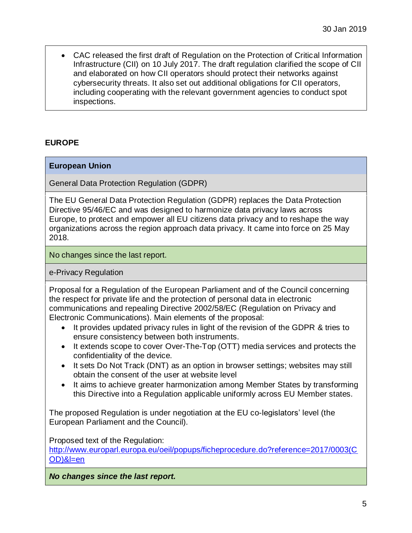CAC released the first draft of Regulation on the Protection of Critical Information Infrastructure (CII) on 10 July 2017. The draft regulation clarified the scope of CII and elaborated on how CII operators should protect their networks against cybersecurity threats. It also set out additional obligations for CII operators, including cooperating with the relevant government agencies to conduct spot inspections.

## **EUROPE**

### **European Union**

General Data Protection Regulation (GDPR)

The EU General Data Protection Regulation (GDPR) replaces the Data Protection Directive 95/46/EC and was designed to harmonize data privacy laws across Europe, to protect and empower all EU citizens data privacy and to reshape the way organizations across the region approach data privacy. It came into force on 25 May 2018.

No changes since the last report.

e-Privacy Regulation

Proposal for a Regulation of the European Parliament and of the Council concerning the respect for private life and the protection of personal data in electronic communications and repealing Directive 2002/58/EC (Regulation on Privacy and Electronic Communications). Main elements of the proposal:

- It provides updated privacy rules in light of the revision of the GDPR & tries to ensure consistency between both instruments.
- It extends scope to cover Over-The-Top (OTT) media services and protects the confidentiality of the device.
- It sets Do Not Track (DNT) as an option in browser settings; websites may still obtain the consent of the user at website level
- It aims to achieve greater harmonization among Member States by transforming this Directive into a Regulation applicable uniformly across EU Member states.

The proposed Regulation is under negotiation at the EU co-legislators' level (the European Parliament and the Council).

Proposed text of the Regulation:

[http://www.europarl.europa.eu/oeil/popups/ficheprocedure.do?reference=2017/0003\(C](http://www.europarl.europa.eu/oeil/popups/ficheprocedure.do?reference=2017/0003(COD)&l=en) [OD\)&l=en](http://www.europarl.europa.eu/oeil/popups/ficheprocedure.do?reference=2017/0003(COD)&l=en)

*No changes since the last report.*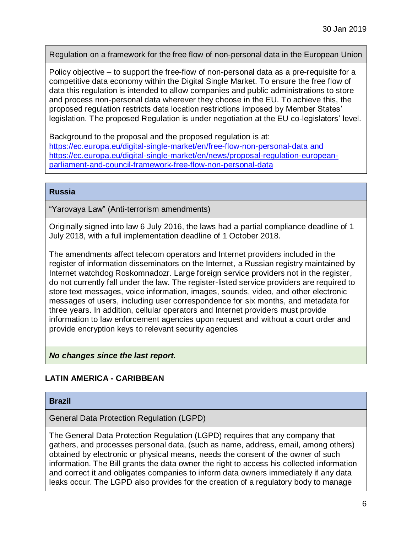Regulation on a framework for the free flow of non-personal data in the European Union

Policy objective – to support the free-flow of non-personal data as a pre-requisite for a competitive data economy within the Digital Single Market. To ensure the free flow of data this regulation is intended to allow companies and public administrations to store and process non-personal data wherever they choose in the EU. To achieve this, the proposed regulation restricts data location restrictions imposed by Member States' legislation. The proposed Regulation is under negotiation at the EU co-legislators' level.

Background to the proposal and the proposed regulation is at: <https://ec.europa.eu/digital-single-market/en/free-flow-non-personal-data> and https://ec.europa.eu/digital-single-market/en/news/proposal-regulation-europeanparliament-and-council-framework-free-flow-non-personal-data

#### **Russia**

"Yarovaya Law" (Anti-terrorism amendments)

Originally signed into law 6 July 2016, the laws had a partial compliance deadline of 1 July 2018, with a full implementation deadline of 1 October 2018.

The amendments affect telecom operators and Internet providers included in the register of information disseminators on the Internet, a Russian registry maintained by Internet watchdog Roskomnadozr. Large foreign service providers not in the register, do not currently fall under the law. The register-listed service providers are required to store text messages, voice information, images, sounds, video, and other electronic messages of users, including user correspondence for six months, and metadata for three years. In addition, cellular operators and Internet providers must provide information to law enforcement agencies upon request and without a court order and provide encryption keys to relevant security agencies

#### *No changes since the last report.*

## **LATIN AMERICA - CARIBBEAN**

#### **Brazil**

General Data Protection Regulation (LGPD)

The General Data Protection Regulation (LGPD) requires that any company that gathers, and processes personal data, (such as name, address, email, among others) obtained by electronic or physical means, needs the consent of the owner of such information. The Bill grants the data owner the right to access his collected information and correct it and obligates companies to inform data owners immediately if any data leaks occur. The LGPD also provides for the creation of a regulatory body to manage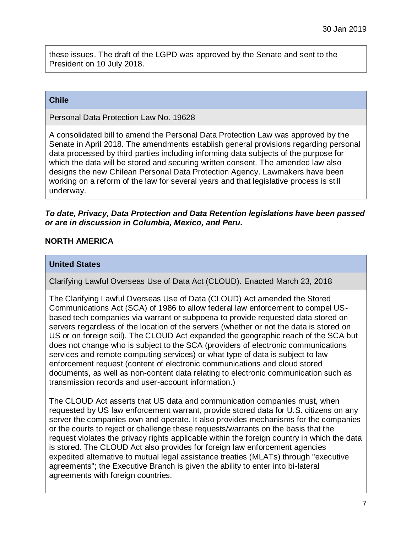these issues. The draft of the LGPD was approved by the Senate and sent to the President on 10 July 2018.

#### **Chile**

Personal Data Protection Law No. 19628

A consolidated bill to amend the Personal Data Protection Law was approved by the Senate in April 2018. The amendments establish general provisions regarding personal data processed by third parties including informing data subjects of the purpose for which the data will be stored and securing written consent. The amended law also designs the new Chilean Personal Data Protection Agency. Lawmakers have been working on a reform of the law for several years and that legislative process is still underway.

#### *To date, Privacy, Data Protection and Data Retention legislations have been passed or are in discussion in Columbia, Mexico, and Peru.*

### **NORTH AMERICA**

#### **United States**

Clarifying Lawful Overseas Use of Data Act (CLOUD). Enacted March 23, 2018

The Clarifying Lawful Overseas Use of Data (CLOUD) Act amended the Stored Communications Act (SCA) of 1986 to allow federal law enforcement to compel USbased tech companies via warrant or subpoena to provide requested data stored on servers regardless of the location of the servers (whether or not the data is stored on US or on foreign soil). The CLOUD Act expanded the geographic reach of the SCA but does not change who is subject to the SCA (providers of electronic communications services and remote computing services) or what type of data is subject to law enforcement request (content of electronic communications and cloud stored documents, as well as non-content data relating to electronic communication such as transmission records and user-account information.)

The CLOUD Act asserts that US data and communication companies must, when requested by US law enforcement warrant, provide stored data for U.S. citizens on any server the companies own and operate. It also provides mechanisms for the companies or the courts to reject or challenge these requests/warrants on the basis that the request violates the privacy rights applicable within the foreign country in which the data is stored. The CLOUD Act also provides for foreign law enforcement agencies expedited alternative to mutual legal assistance treaties (MLATs) through "executive agreements"; the Executive Branch is given the ability to enter into bi-lateral agreements with foreign countries.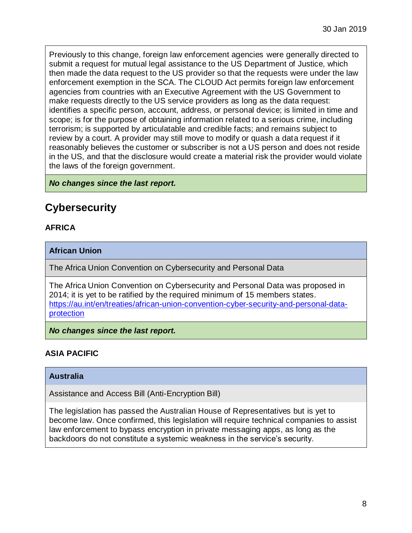Previously to this change, foreign law enforcement agencies were generally directed to submit a request for mutual legal assistance to the US Department of Justice, which then made the data request to the US provider so that the requests were under the law enforcement exemption in the SCA. The CLOUD Act permits foreign law enforcement agencies from countries with an Executive Agreement with the US Government to make requests directly to the US service providers as long as the data request: identifies a specific person, account, address, or personal device; is limited in time and scope; is for the purpose of obtaining information related to a serious crime, including terrorism; is supported by articulatable and credible facts; and remains subject to review by a court. A provider may still move to modify or quash a data request if it reasonably believes the customer or subscriber is not a US person and does not reside in the US, and that the disclosure would create a material risk the provider would violate the laws of the foreign government.

*No changes since the last report.*

# **Cybersecurity**

## **AFRICA**

## **African Union**

The Africa Union Convention on Cybersecurity and Personal Data

The Africa Union Convention on Cybersecurity and Personal Data was proposed in 2014; it is yet to be ratified by the required minimum of 15 members states. [https://au.int/en/treaties/african-union-convention-cyber-security-and-personal-data](https://au.int/en/treaties/african-union-convention-cyber-security-and-personal-data-protection)[protection](https://au.int/en/treaties/african-union-convention-cyber-security-and-personal-data-protection)

*No changes since the last report.*

## **ASIA PACIFIC**

#### **Australia**

Assistance and Access Bill (Anti-Encryption Bill)

The legislation has passed the Australian House of Representatives but is yet to become law. Once confirmed, this legislation will require technical companies to assist law enforcement to bypass encryption in private messaging apps, as long as the backdoors do not constitute a systemic weakness in the service's security.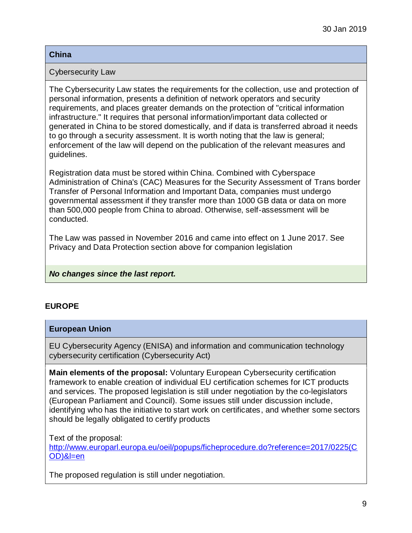#### **China**

#### Cybersecurity Law

The Cybersecurity Law states the requirements for the collection, use and protection of personal information, presents a definition of network operators and security requirements, and places greater demands on the protection of "critical information infrastructure." It requires that personal information/important data collected or generated in China to be stored domestically, and if data is transferred abroad it needs to go through a security assessment. It is worth noting that the law is general; enforcement of the law will depend on the publication of the relevant measures and guidelines.

Registration data must be stored within China. Combined with Cyberspace Administration of China's (CAC) Measures for the Security Assessment of Trans border Transfer of Personal Information and Important Data, companies must undergo governmental assessment if they transfer more than 1000 GB data or data on more than 500,000 people from China to abroad. Otherwise, self-assessment will be conducted.

The Law was passed in November 2016 and came into effect on 1 June 2017. See Privacy and Data Protection section above for companion legislation

## *No changes since the last report.*

## **EUROPE**

#### **European Union**

EU Cybersecurity Agency (ENISA) and information and communication technology cybersecurity certification (Cybersecurity Act)

**Main elements of the proposal:** Voluntary European Cybersecurity certification framework to enable creation of individual EU certification schemes for ICT products and services. The proposed legislation is still under negotiation by the co-legislators (European Parliament and Council). Some issues still under discussion include, identifying who has the initiative to start work on certificates, and whether some sectors should be legally obligated to certify products

Text of the proposal:

[http://www.europarl.europa.eu/oeil/popups/ficheprocedure.do?reference=2017/0225\(C](https://oeil.secure.europarl.europa.eu/oeil/popups/ficheprocedure.do?reference=2017/0225(C%20OD)&l=en)  [OD\)&l=en](https://oeil.secure.europarl.europa.eu/oeil/popups/ficheprocedure.do?reference=2017/0225(C%20OD)&l=en)

The proposed regulation is still under negotiation.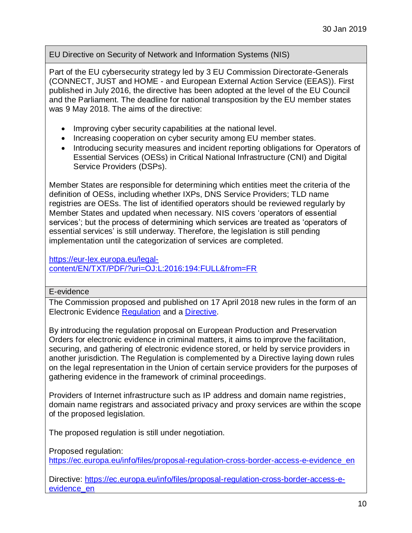EU Directive on Security of Network and Information Systems (NIS)

Part of the EU cybersecurity strategy led by 3 EU Commission Directorate-Generals (CONNECT, JUST and HOME - and European External Action Service (EEAS)). First published in July 2016, the directive has been adopted at the level of the EU Council and the Parliament. The deadline for national transposition by the EU member states was 9 May 2018. The aims of the directive:

- Improving cyber security capabilities at the national level.
- Increasing cooperation on cyber security among EU member states.
- Introducing security measures and incident reporting obligations for Operators of Essential Services (OESs) in Critical National Infrastructure (CNI) and Digital Service Providers (DSPs).

Member States are responsible for determining which entities meet the criteria of the definition of OESs, including whether IXPs, DNS Service Providers; TLD name registries are OESs. The list of identified operators should be reviewed regularly by Member States and updated when necessary. NIS covers 'operators of essential services'; but the process of determining which services are treated as 'operators of essential services' is still underway. Therefore, the legislation is still pending implementation until the categorization of services are completed.

[https://eur-lex.europa.eu/legal](https://eur-lex.europa.eu/legal-content/EN/TXT/PDF/?uri=OJ:L:2016:194:FULL&from=FR)[content/EN/TXT/PDF/?uri=OJ:L:2016:194:FULL&from=FR](https://eur-lex.europa.eu/legal-content/EN/TXT/PDF/?uri=OJ:L:2016:194:FULL&from=FR)

#### E-evidence

The Commission proposed and published on 17 April 2018 new rules in the form of an Electronic Evidence [Regulation](http://eur-lex.europa.eu/legal-content/EN/TXT/?qid=1524129181403&uri=COM:2018:225:FIN) and a [Directive.](http://eur-lex.europa.eu/legal-content/EN/TXT/?qid=1524129181403&uri=COM:2018:226:FIN)

By introducing the regulation proposal on European Production and Preservation Orders for electronic evidence in criminal matters, it aims to improve the facilitation, securing, and gathering of electronic evidence stored, or held by service providers in another jurisdiction. The Regulation is complemented by a Directive laying down rules on the legal representation in the Union of certain service providers for the purposes of gathering evidence in the framework of criminal proceedings.

Providers of Internet infrastructure such as IP address and domain name registries, domain name registrars and associated privacy and proxy services are within the scope of the proposed legislation.

The proposed regulation is still under negotiation.

Proposed regulation:

[https://ec.europa.eu/info/files/proposal-regulation-cross-border-access-e-evidence\\_en](https://ec.europa.eu/info/files/proposal-regulation-cross-border-access-e-evidence_en)

Directive: [https://ec.europa.eu/info/files/proposal-regulation-cross-border-access-e](https://ec.europa.eu/info/files/proposal-regulation-cross-border-access-e-evidence_en)[evidence\\_en](https://ec.europa.eu/info/files/proposal-regulation-cross-border-access-e-evidence_en)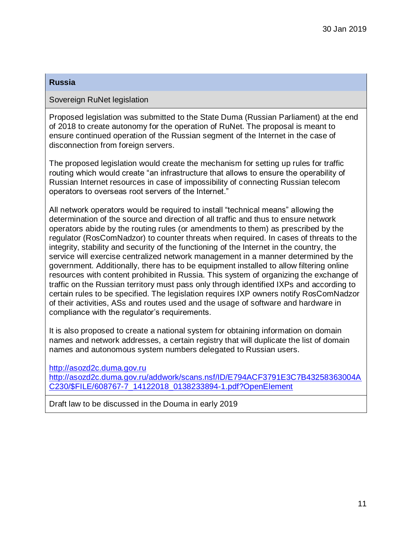#### **Russia**

### Sovereign RuNet legislation

Proposed legislation was submitted to the State Duma (Russian Parliament) at the end of 2018 to create autonomy for the operation of RuNet. The proposal is meant to ensure continued operation of the Russian segment of the Internet in the case of disconnection from foreign servers.

The proposed legislation would create the mechanism for setting up rules for traffic routing which would create "an infrastructure that allows to ensure the operability of Russian Internet resources in case of impossibility of connecting Russian telecom operators to overseas root servers of the Internet."

All network operators would be required to install "technical means" allowing the determination of the source and direction of all traffic and thus to ensure network operators abide by the routing rules (or amendments to them) as prescribed by the regulator (RosComNadzor) to counter threats when required. In cases of threats to the integrity, stability and security of the functioning of the Internet in the country, the service will exercise centralized network management in a manner determined by the government. Additionally, there has to be equipment installed to allow filtering online resources with content prohibited in Russia. This system of organizing the exchange of traffic on the Russian territory must pass only through identified IXPs and according to certain rules to be specified. The legislation requires IXP owners notify RosComNadzor of their activities, ASs and routes used and the usage of software and hardware in compliance with the regulator's requirements.

It is also proposed to create a national system for obtaining information on domain names and network addresses, a certain registry that will duplicate the list of domain names and autonomous system numbers delegated to Russian users.

[http://asozd2c.duma.gov.ru](http://asozd2c.duma.gov.ru/)  [http://asozd2c.duma.gov.ru/addwork/scans.nsf/ID/E794ACF3791E3C7B43258363004A](http://asozd2c.duma.gov.ru/addwork/scans.nsf/ID/E794ACF3791E3C7B43258363004AC230/$FILE/608767-7_14122018_0138233894-1.pdf?OpenElement) [C230/\\$FILE/608767-7\\_14122018\\_0138233894-1.pdf?OpenElement](http://asozd2c.duma.gov.ru/addwork/scans.nsf/ID/E794ACF3791E3C7B43258363004AC230/$FILE/608767-7_14122018_0138233894-1.pdf?OpenElement)

Draft law to be discussed in the Douma in early 2019